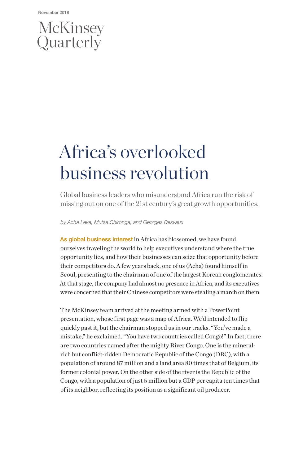# McKinsey<br>Quarterly

# Africa's overlooked business revolution

Global business leaders who misunderstand Africa run the risk of missing out on one of the 21st century's great growth opportunities.

*by Acha Leke, Mutsa Chironga, and Georges Desvaux*

As global business interest in Africa has blossomed, we have found ourselves traveling the world to help executives understand where the true opportunity lies, and how their businesses can seize that opportunity before their competitors do. A few years back, one of us (Acha) found himself in Seoul, presenting to the chairman of one of the largest Korean conglomerates. At that stage, the company had almost no presence in Africa, and its executives were concerned that their Chinese competitors were stealing a march on them.

The McKinsey team arrived at the meeting armed with a PowerPoint presentation, whose first page was a map of Africa. We'd intended to flip quickly past it, but the chairman stopped us in our tracks. "You've made a mistake," he exclaimed. "You have two countries called Congo!" In fact, there are two countries named after the mighty River Congo. One is the mineralrich but conflict-ridden Democratic Republic of the Congo (DRC), with a population of around 87 million and a land area 80 times that of Belgium, its former colonial power. On the other side of the river is the Republic of the Congo, with a population of just 5 million but a GDP per capita ten times that of its neighbor, reflecting its position as a significant oil producer.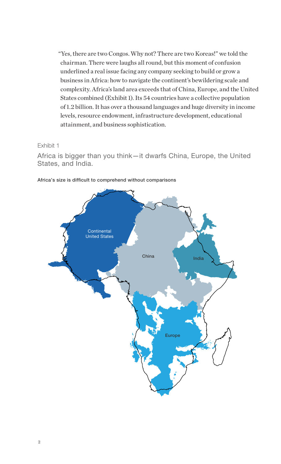"Yes, there are two Congos. Why not? There are two Koreas!" we told the chairman. There were laughs all round, but this moment of confusion underlined a real issue facing any company seeking to build or grow a business in Africa: how to navigate the continent's bewildering scale and complexity. Africa's land area exceeds that of China, Europe, and the United States combined (Exhibit 1). Its 54 countries have a collective population of 1.2 billion. It has over a thousand languages and huge diversity in income levels, resource endowment, infrastructure development, educational attainment, and business sophistication.

#### Exhibit 1

Africa is bigger than you think—it dwarfs China, Europe, the United States, and India.



#### Africa's size is difficult to comprehend without comparisons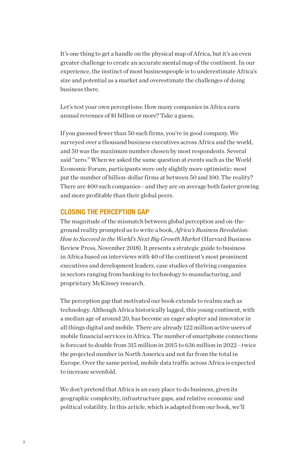It's one thing to get a handle on the physical map of Africa, but it's an even greater challenge to create an accurate mental map of the continent. In our experience, the instinct of most businesspeople is to underestimate Africa's size and potential as a market and overestimate the challenges of doing business there.

Let's test your own perceptions: How many companies in Africa earn annual revenues of \$1 billion or more? Take a guess.

If you guessed fewer than 50 such firms, you're in good company. We surveyed over a thousand business executives across Africa and the world, and 50 was the maximum number chosen by most respondents. Several said "zero." When we asked the same question at events such as the World Economic Forum, participants were only slightly more optimistic: most put the number of billion-dollar firms at between 50 and 100. The reality? There are 400 such companies—and they are on average both faster growing and more profitable than their global peers.

#### CLOSING THE PERCEPTION GAP

The magnitude of the mismatch between global perception and on-theground reality prompted us to write a book, *Africa's Business Revolution: How to Succeed in the World's Next Big Growth Market* (Harvard Business Review Press, November 2018). It presents a strategic guide to business in Africa based on interviews with 40 of the continent's most prominent executives and development leaders, case studies of thriving companies in sectors ranging from banking to technology to manufacturing, and proprietary McKinsey research.

The perception gap that motivated our book extends to realms such as technology. Although Africa historically lagged, this young continent, with a median age of around 20, has become an eager adopter and innovator in all things digital and mobile. There are already 122 million active users of mobile financial services in Africa. The number of smartphone connections is forecast to double from 315 million in 2015 to 636 million in 2022—twice the projected number in North America and not far from the total in Europe. Over the same period, mobile data traffic across Africa is expected to increase sevenfold.

We don't pretend that Africa is an easy place to do business, given its geographic complexity, infrastructure gaps, and relative economic and political volatility. In this article, which is adapted from our book, we'll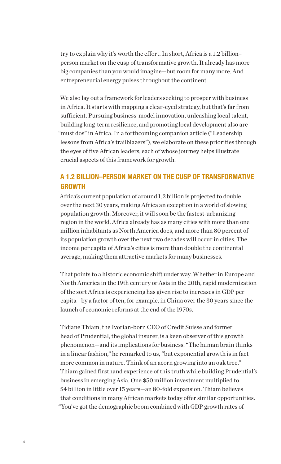try to explain why it's worth the effort. In short, Africa is a 1.2 billion– person market on the cusp of transformative growth. It already has more big companies than you would imagine—but room for many more. And entrepreneurial energy pulses throughout the continent.

We also lay out a framework for leaders seeking to prosper with business in Africa. It starts with mapping a clear-eyed strategy, but that's far from sufficient. Pursuing business-model innovation, unleashing local talent, building long-term resilience, and promoting local development also are "must dos" in Africa. In a forthcoming companion article ("Leadership lessons from Africa's trailblazers"), we elaborate on these priorities through the eyes of five African leaders, each of whose journey helps illustrate crucial aspects of this framework for growth.

# A 1.2 BILLION–PERSON MARKET ON THE CUSP OF TRANSFORMATIVE GROWTH

Africa's current population of around 1.2 billion is projected to double over the next 30 years, making Africa an exception in a world of slowing population growth. Moreover, it will soon be the fastest-urbanizing region in the world. Africa already has as many cities with more than one million inhabitants as North America does, and more than 80 percent of its population growth over the next two decades will occur in cities. The income per capita of Africa's cities is more than double the continental average, making them attractive markets for many businesses.

That points to a historic economic shift under way. Whether in Europe and North America in the 19th century or Asia in the 20th, rapid modernization of the sort Africa is experiencing has given rise to increases in GDP per capita—by a factor of ten, for example, in China over the 30 years since the launch of economic reforms at the end of the 1970s.

Tidjane Thiam, the Ivorian-born CEO of Credit Suisse and former head of Prudential, the global insurer, is a keen observer of this growth phenomenon—and its implications for business. "The human brain thinks in a linear fashion," he remarked to us, "but exponential growth is in fact more common in nature. Think of an acorn growing into an oak tree." Thiam gained firsthand experience of this truth while building Prudential's business in emerging Asia. One \$50 million investment multiplied to \$4 billion in little over 15 years—an 80-fold expansion. Thiam believes that conditions in many African markets today offer similar opportunities. "You've got the demographic boom combined with GDP growth rates of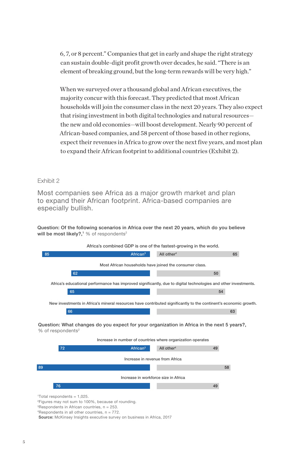6, 7, or 8 percent." Companies that get in early and shape the right strategy can sustain double-digit profit growth over decades, he said. "There is an element of breaking ground, but the long-term rewards will be very high."

When we surveyed over a thousand global and African executives, the majority concur with this forecast. They predicted that most African households will join the consumer class in the next 20 years. They also expect that rising investment in both digital technologies and natural resources the new and old economies—will boost development. Nearly 90 percent of African-based companies, and 58 percent of those based in other regions, expect their revenues in Africa to grow over the next five years, and most plan to expand their African footprint to additional countries (Exhibit 2).

#### Exhibit 2

Most companies see Africa as a major growth market and plan to expand their African footprint. Africa-based companies are especially bullish.

Question: Of the following scenarios in Africa over the next 20 years, which do you believe will be most likely?,<sup>1</sup> % of respondents<sup>2</sup>



 ${}^{3}$ Respondents in African countries,  $n = 253$ .

 $4$ Respondents in all other countries,  $n = 772$ .

Source: McKinsey Insights executive survey on business in Africa, 2017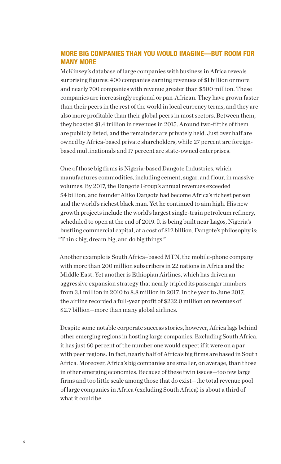# MORE BIG COMPANIES THAN YOU WOULD IMAGINE—BUT ROOM FOR MANY MORE

McKinsey's database of large companies with business in Africa reveals surprising figures: 400 companies earning revenues of \$1 billion or more and nearly 700 companies with revenue greater than \$500 million. These companies are increasingly regional or pan-African. They have grown faster than their peers in the rest of the world in local currency terms, and they are also more profitable than their global peers in most sectors. Between them, they boasted \$1.4 trillion in revenues in 2015. Around two-fifths of them are publicly listed, and the remainder are privately held. Just over half are owned by Africa-based private shareholders, while 27 percent are foreignbased multinationals and 17 percent are state-owned enterprises.

One of those big firms is Nigeria-based Dangote Industries, which manufactures commodities, including cement, sugar, and flour, in massive volumes. By 2017, the Dangote Group's annual revenues exceeded \$4 billion, and founder Aliko Dangote had become Africa's richest person and the world's richest black man. Yet he continued to aim high. His new growth projects include the world's largest single-train petroleum refinery, scheduled to open at the end of 2019. It is being built near Lagos, Nigeria's bustling commercial capital, at a cost of \$12 billion. Dangote's philosophy is: "Think big, dream big, and do big things."

Another example is South Africa–based MTN, the mobile-phone company with more than 200 million subscribers in 22 nations in Africa and the Middle East. Yet another is Ethiopian Airlines, which has driven an aggressive expansion strategy that nearly tripled its passenger numbers from 3.1 million in 2010 to 8.8 million in 2017. In the year to June 2017, the airline recorded a full-year profit of \$232.0 million on revenues of \$2.7 billion—more than many global airlines.

Despite some notable corporate success stories, however, Africa lags behind other emerging regions in hosting large companies. Excluding South Africa, it has just 60 percent of the number one would expect if it were on a par with peer regions. In fact, nearly half of Africa's big firms are based in South Africa. Moreover, Africa's big companies are smaller, on average, than those in other emerging economies. Because of these twin issues—too few large firms and too little scale among those that do exist—the total revenue pool of large companies in Africa (excluding South Africa) is about a third of what it could be.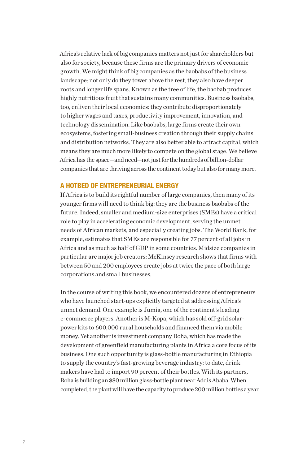Africa's relative lack of big companies matters not just for shareholders but also for society, because these firms are the primary drivers of economic growth. We might think of big companies as the baobabs of the business landscape: not only do they tower above the rest, they also have deeper roots and longer life spans. Known as the tree of life, the baobab produces highly nutritious fruit that sustains many communities. Business baobabs, too, enliven their local economies: they contribute disproportionately to higher wages and taxes, productivity improvement, innovation, and technology dissemination. Like baobabs, large firms create their own ecosystems, fostering small-business creation through their supply chains and distribution networks. They are also better able to attract capital, which means they are much more likely to compete on the global stage. We believe Africa has the space—and need—not just for the hundreds of billion-dollar companies that are thriving across the continent today but also for many more.

### A HOTBED OF ENTREPRENEURIAL ENERGY

If Africa is to build its rightful number of large companies, then many of its younger firms will need to think big: they are the business baobabs of the future. Indeed, smaller and medium-size enterprises (SMEs) have a critical role to play in accelerating economic development, serving the unmet needs of African markets, and especially creating jobs. The World Bank, for example, estimates that SMEs are responsible for 77 percent of all jobs in Africa and as much as half of GDP in some countries. Midsize companies in particular are major job creators: McKinsey research shows that firms with between 50 and 200 employees create jobs at twice the pace of both large corporations and small businesses.

In the course of writing this book, we encountered dozens of entrepreneurs who have launched start-ups explicitly targeted at addressing Africa's unmet demand. One example is Jumia, one of the continent's leading e-commerce players. Another is M-Kopa, which has sold off-grid solarpower kits to 600,000 rural households and financed them via mobile money. Yet another is investment company Roha, which has made the development of greenfield manufacturing plants in Africa a core focus of its business. One such opportunity is glass-bottle manufacturing in Ethiopia to supply the country's fast-growing beverage industry: to date, drink makers have had to import 90 percent of their bottles. With its partners, Roha is building an \$80 million glass-bottle plant near Addis Ababa. When completed, the plant will have the capacity to produce 200 million bottles a year.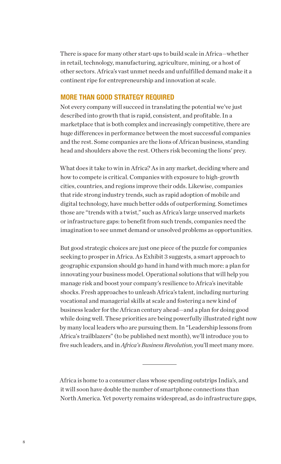There is space for many other start-ups to build scale in Africa—whether in retail, technology, manufacturing, agriculture, mining, or a host of other sectors. Africa's vast unmet needs and unfulfilled demand make it a continent ripe for entrepreneurship and innovation at scale.

## MORE THAN GOOD STRATEGY REQUIRED

Not every company will succeed in translating the potential we've just described into growth that is rapid, consistent, and profitable. In a marketplace that is both complex and increasingly competitive, there are huge differences in performance between the most successful companies and the rest. Some companies are the lions of African business, standing head and shoulders above the rest. Others risk becoming the lions' prey.

What does it take to win in Africa? As in any market, deciding where and how to compete is critical. Companies with exposure to high-growth cities, countries, and regions improve their odds. Likewise, companies that ride strong industry trends, such as rapid adoption of mobile and digital technology, have much better odds of outperforming. Sometimes those are "trends with a twist," such as Africa's large unserved markets or infrastructure gaps: to benefit from such trends, companies need the imagination to see unmet demand or unsolved problems as opportunities.

But good strategic choices are just one piece of the puzzle for companies seeking to prosper in Africa. As Exhibit 3 suggests, a smart approach to geographic expansion should go hand in hand with much more: a plan for innovating your business model. Operational solutions that will help you manage risk and boost your company's resilience to Africa's inevitable shocks. Fresh approaches to unleash Africa's talent, including nurturing vocational and managerial skills at scale and fostering a new kind of business leader for the African century ahead—and a plan for doing good while doing well. These priorities are being powerfully illustrated right now by many local leaders who are pursuing them. In "Leadership lessons from Africa's trailblazers" (to be published next month), we'll introduce you to five such leaders, and in *Africa's Business Revolution*, you'll meet many more.

Africa is home to a consumer class whose spending outstrips India's, and it will soon have double the number of smartphone connections than North America. Yet poverty remains widespread, as do infrastructure gaps,